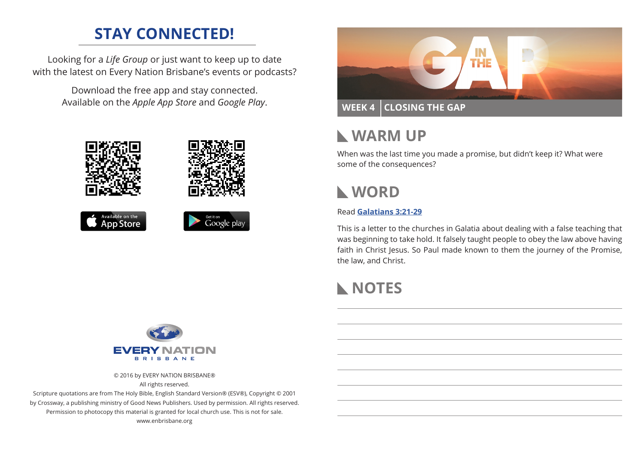## **STAY CONNECTED!**

Looking for a *Life Group* or just want to keep up to date with the latest on Every Nation Brisbane's events or podcasts?

> Download the free app and stay connected. Available on the *Apple App Store* and *Google Play*.





## **WARM UP**

When was the last time you made a promise, but didn't keep it? What were some of the consequences?

## **WORD**

#### Read **Galatians 3:21-29**

This is a letter to the churches in Galatia about dealing with a false teaching that was beginning to take hold. It falsely taught people to obey the law above having faith in Christ Jesus. So Paul made known to them the journey of the Promise, the law, and Christ.

# **NOTES**



© 2016 by EVERY NATION BRISBANE®

All rights reserved.

Scripture quotations are from The Holy Bible, English Standard Version® (ESV®), Copyright © 2001 by Crossway, a publishing ministry of Good News Publishers. Used by permission. All rights reserved. Permission to photocopy this material is granted for local church use. This is not for sale. www.enbrisbane.org